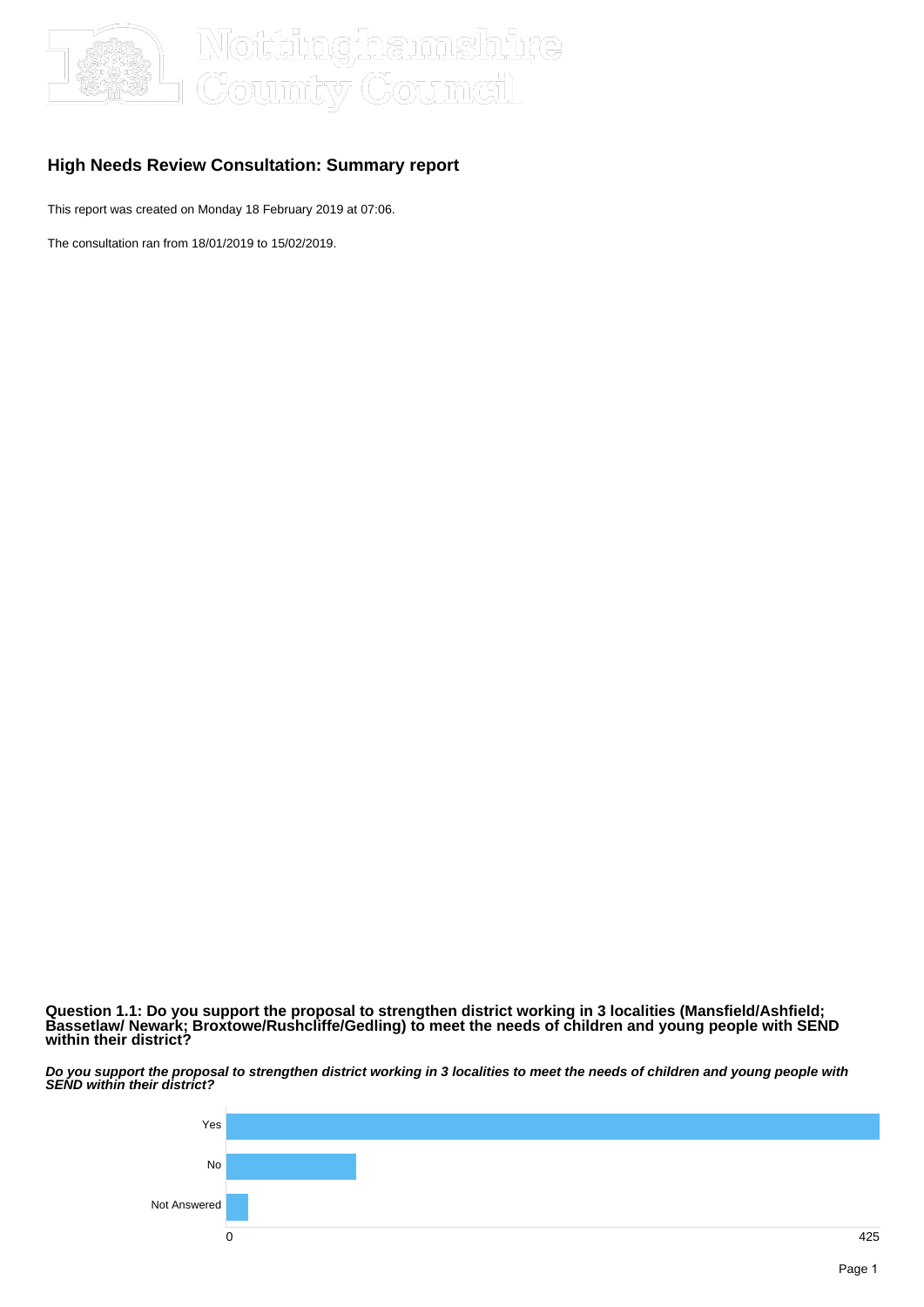

## ums)hire oumcil

### **High Needs Review Consultation: Summary report**

This report was created on Monday 18 February 2019 at 07:06.

The consultation ran from 18/01/2019 to 15/02/2019.

**Question 1.1: Do you support the proposal to strengthen district working in 3 localities (Mansfield/Ashfield; Bassetlaw/ Newark; Broxtowe/Rushcliffe/Gedling) to meet the needs of children and young people with SEND within their district?**

**Do you support the proposal to strengthen district working in 3 localities to meet the needs of children and young people with SEND within their district?**

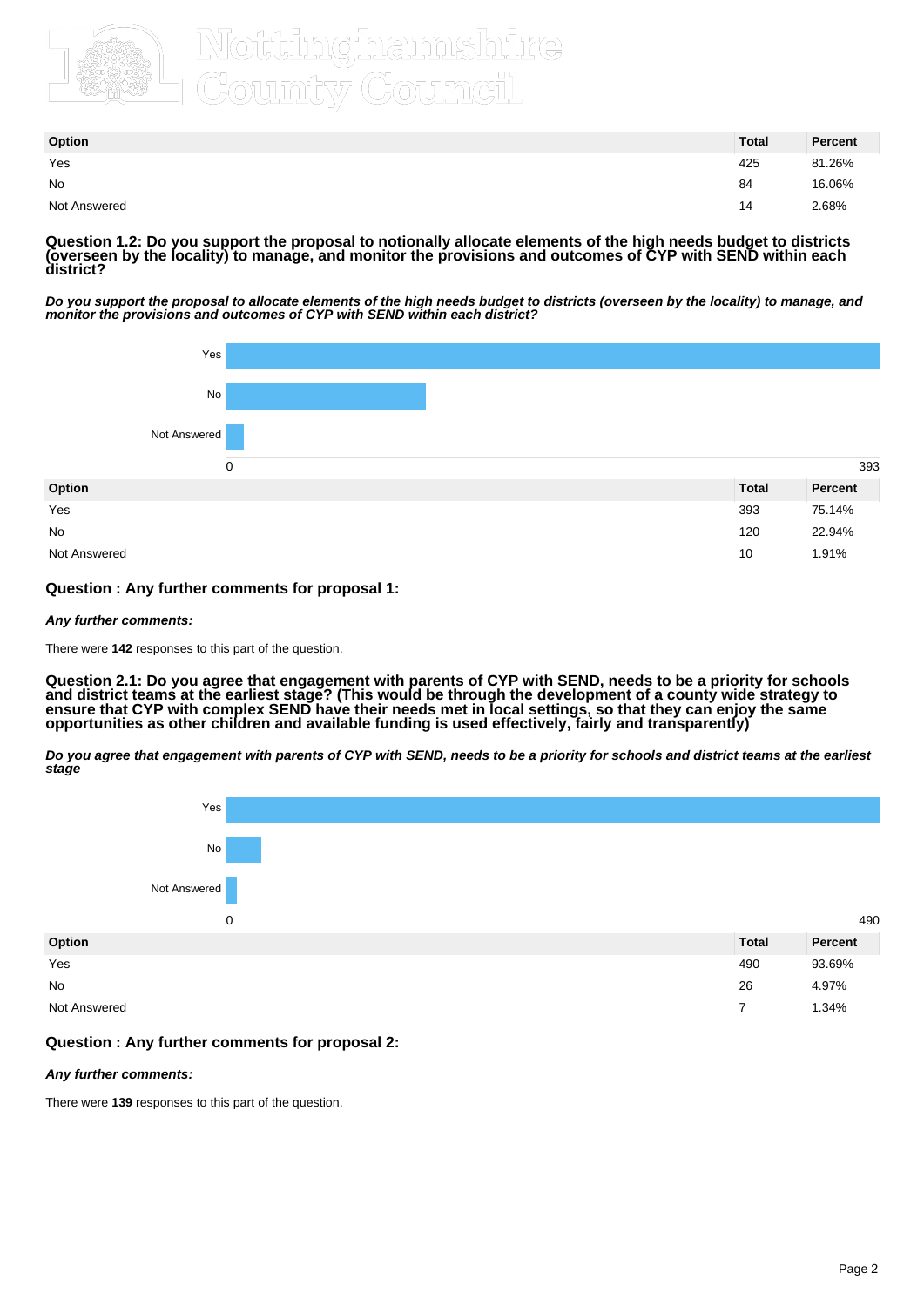

## Country Counteil

| Option       | <b>Total</b> | Percent |
|--------------|--------------|---------|
| Yes          | 425          | 81.26%  |
| No           | 84           | 16.06%  |
| Not Answered | 14           | 2.68%   |

**Question 1.2: Do you support the proposal to notionally allocate elements of the high needs budget to districts (overseen by the locality) to manage, and monitor the provisions and outcomes of CYP with SEND within each district?**

**Do you support the proposal to allocate elements of the high needs budget to districts (overseen by the locality) to manage, and monitor the provisions and outcomes of CYP with SEND within each district?**



### **Question : Any further comments for proposal 1:**

#### **Any further comments:**

There were **142** responses to this part of the question.

**Question 2.1: Do you agree that engagement with parents of CYP with SEND, needs to be a priority for schools and district teams at the earliest stage? (This would be through the development of a county wide strategy to ensure that CYP with complex SEND have their needs met in local settings, so that they can enjoy the same opportunities as other children and available funding is used effectively, fairly and transparently)**

**Do you agree that engagement with parents of CYP with SEND, needs to be a priority for schools and district teams at the earliest stage**



#### **Question : Any further comments for proposal 2:**

#### **Any further comments:**

There were **139** responses to this part of the question.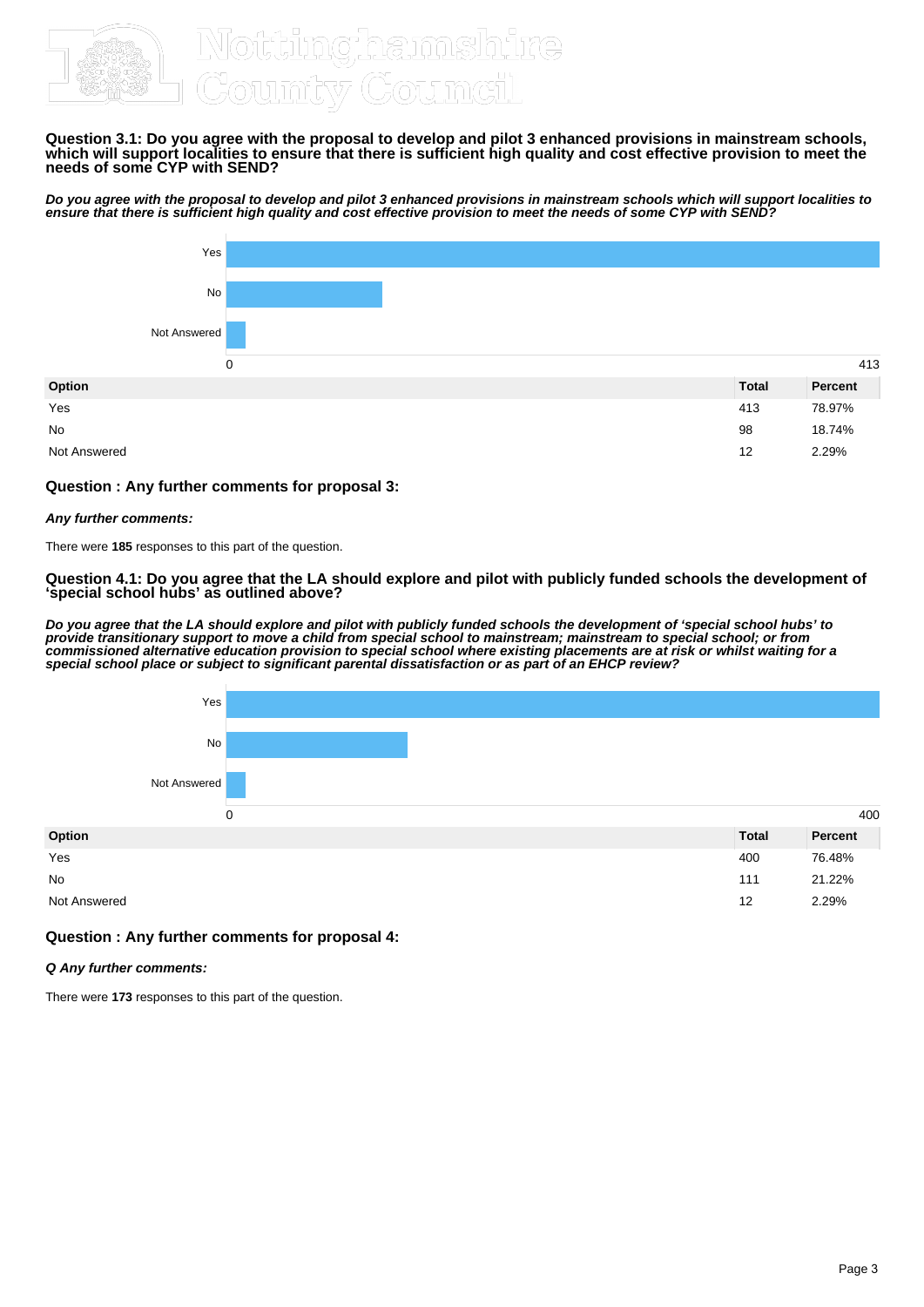

#### **Question 3.1: Do you agree with the proposal to develop and pilot 3 enhanced provisions in mainstream schools, which will support localities to ensure that there is sufficient high quality and cost effective provision to meet the needs of some CYP with SEND?**

**Do you agree with the proposal to develop and pilot 3 enhanced provisions in mainstream schools which will support localities to ensure that there is sufficient high quality and cost effective provision to meet the needs of some CYP with SEND?**



#### **Question : Any further comments for proposal 3:**

#### **Any further comments:**

There were **185** responses to this part of the question.

#### **Question 4.1: Do you agree that the LA should explore and pilot with publicly funded schools the development of 'special school hubs' as outlined above?**

**Do you agree that the LA should explore and pilot with publicly funded schools the development of 'special school hubs' to provide transitionary support to move a child from special school to mainstream; mainstream to special school; or from commissioned alternative education provision to special school where existing placements are at risk or whilst waiting for a special school place or subject to significant parental dissatisfaction or as part of an EHCP review?**



#### **Question : Any further comments for proposal 4:**

#### **Q Any further comments:**

There were **173** responses to this part of the question.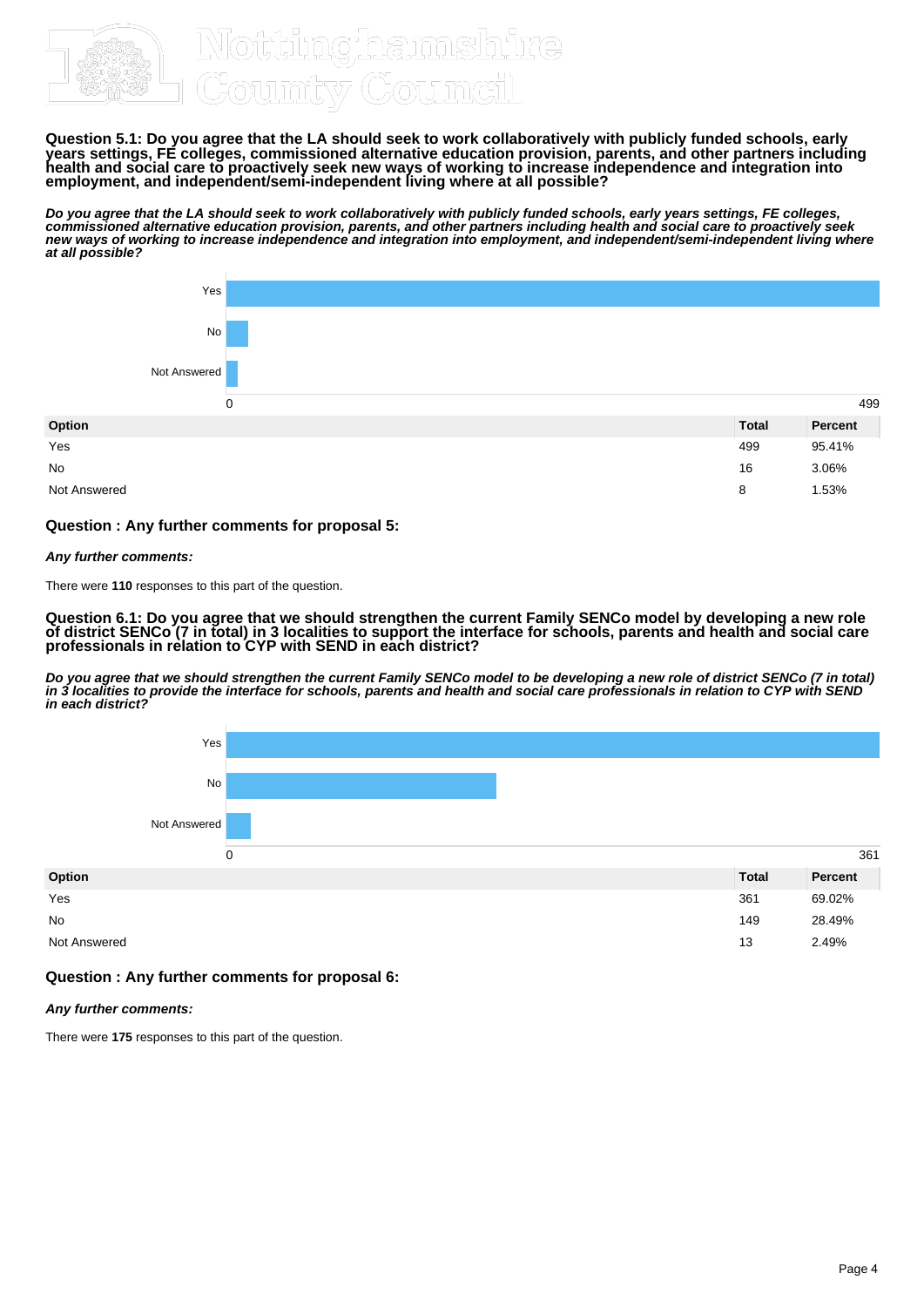

**Question 5.1: Do you agree that the LA should seek to work collaboratively with publicly funded schools, early years settings, FE colleges, commissioned alternative education provision, parents, and other partners including health and social care to proactively seek new ways of working to increase independence and integration into employment, and independent/semi-independent living where at all possible?**

**Do you agree that the LA should seek to work collaboratively with publicly funded schools, early years settings, FE colleges, commissioned alternative education provision, parents, and other partners including health and social care to proactively seek new ways of working to increase independence and integration into employment, and independent/semi-independent living where at all possible?**



#### **Question : Any further comments for proposal 5:**

#### **Any further comments:**

There were **110** responses to this part of the question.

**Question 6.1: Do you agree that we should strengthen the current Family SENCo model by developing a new role of district SENCo (7 in total) in 3 localities to support the interface for schools, parents and health and social care professionals in relation to CYP with SEND in each district?**

**Do you agree that we should strengthen the current Family SENCo model to be developing a new role of district SENCo (7 in total) in 3 localities to provide the interface for schools, parents and health and social care professionals in relation to CYP with SEND in each district?**



#### **Question : Any further comments for proposal 6:**

#### **Any further comments:**

There were **175** responses to this part of the question.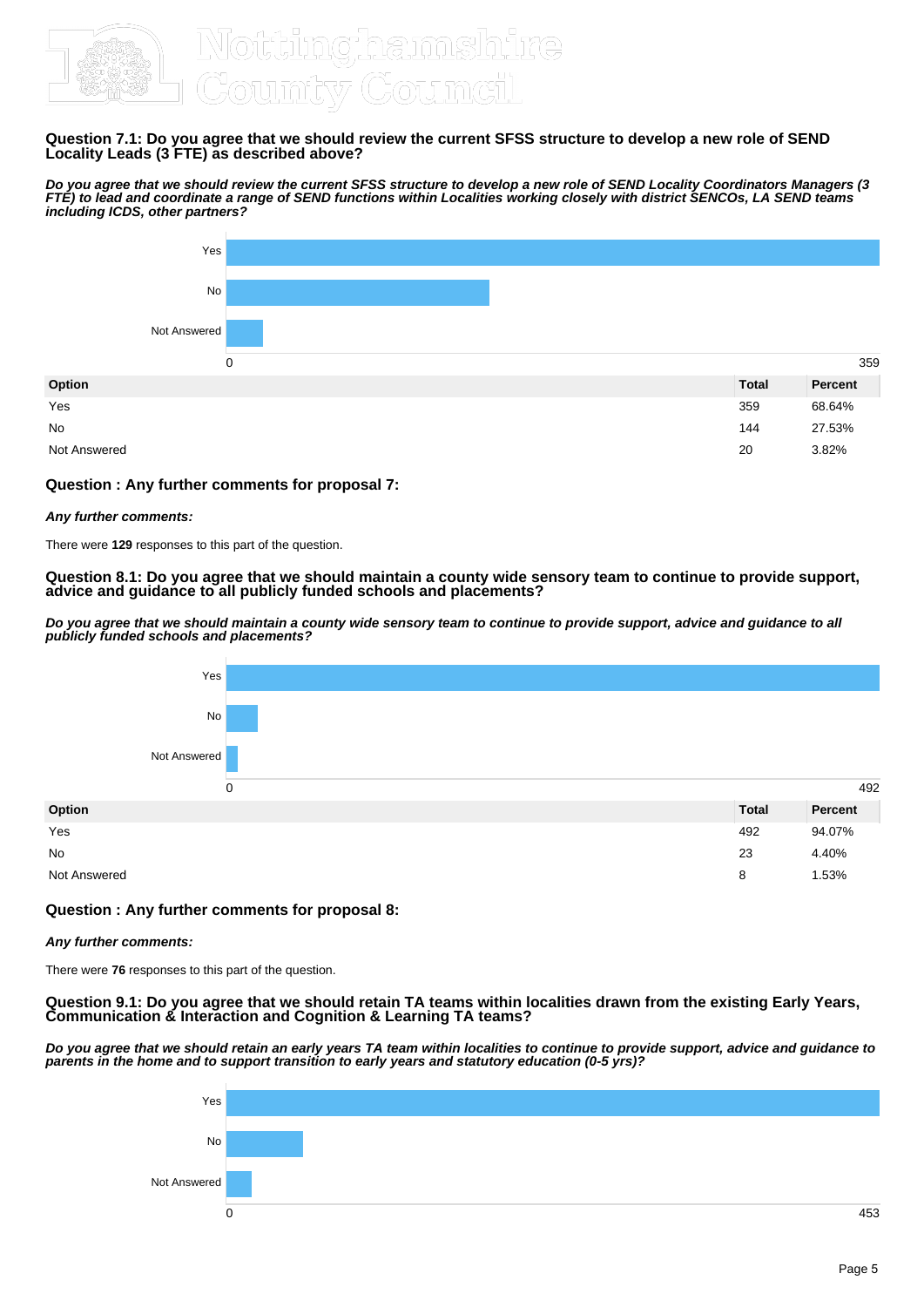

#### **Question 7.1: Do you agree that we should review the current SFSS structure to develop a new role of SEND Locality Leads (3 FTE) as described above?**

**Do you agree that we should review the current SFSS structure to develop a new role of SEND Locality Coordinators Managers (3 FTE) to lead and coordinate a range of SEND functions within Localities working closely with district SENCOs, LA SEND teams including ICDS, other partners?**



### **Question : Any further comments for proposal 7:**

#### **Any further comments:**

There were **129** responses to this part of the question.

#### **Question 8.1: Do you agree that we should maintain a county wide sensory team to continue to provide support, advice and guidance to all publicly funded schools and placements?**

**Do you agree that we should maintain a county wide sensory team to continue to provide support, advice and guidance to all publicly funded schools and placements?**



#### **Question : Any further comments for proposal 8:**

#### **Any further comments:**

There were **76** responses to this part of the question.

#### **Question 9.1: Do you agree that we should retain TA teams within localities drawn from the existing Early Years, Communication & Interaction and Cognition & Learning TA teams?**

**Do you agree that we should retain an early years TA team within localities to continue to provide support, advice and guidance to parents in the home and to support transition to early years and statutory education (0-5 yrs)?**

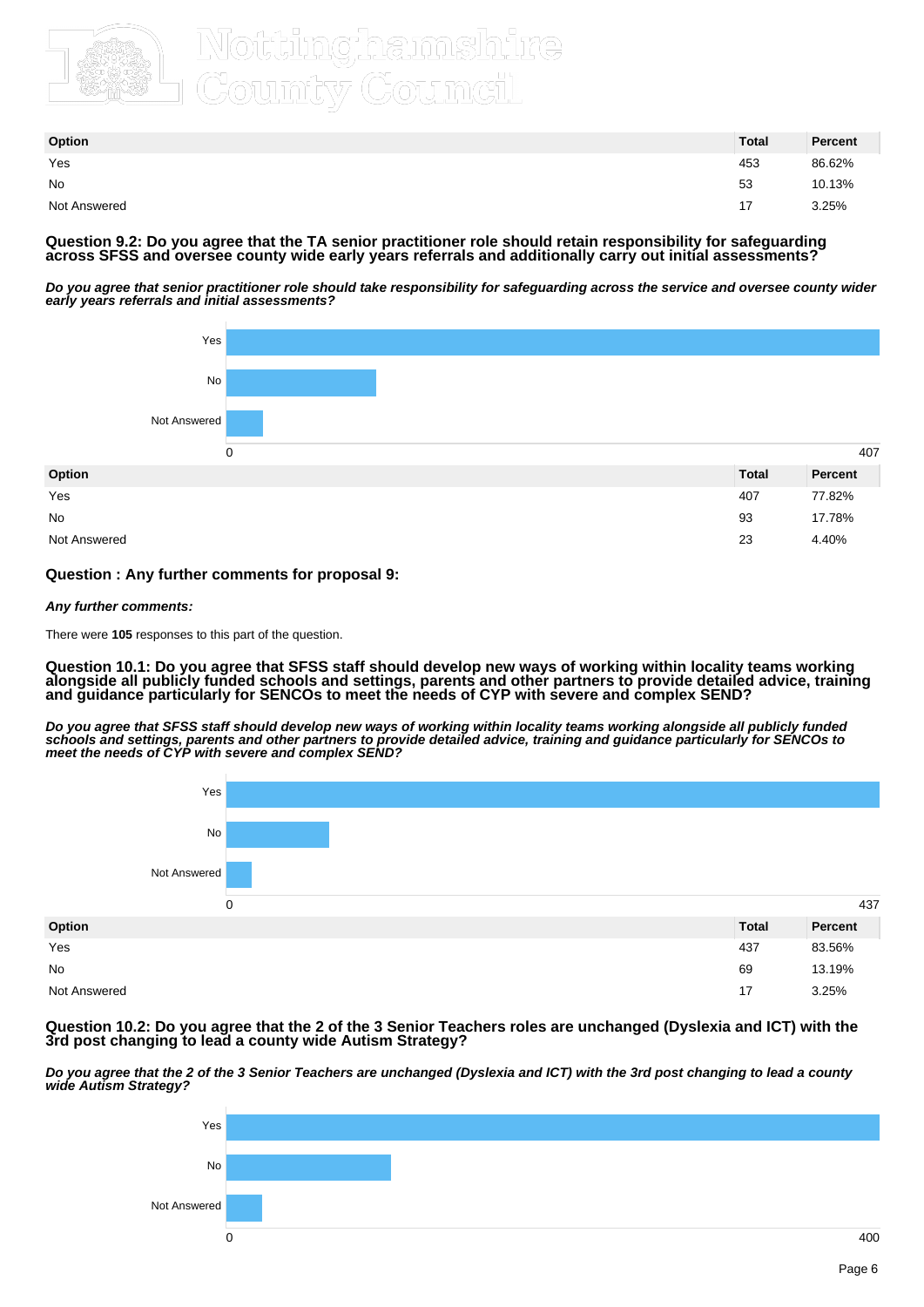

| Option       | <b>Total</b> | Percent |
|--------------|--------------|---------|
| Yes          | 453          | 86.62%  |
| No           | 53           | 10.13%  |
| Not Answered | 17           | 3.25%   |

**Question 9.2: Do you agree that the TA senior practitioner role should retain responsibility for safeguarding across SFSS and oversee county wide early years referrals and additionally carry out initial assessments?**

**Do you agree that senior practitioner role should take responsibility for safeguarding across the service and oversee county wider early years referrals and initial assessments?**



#### **Question : Any further comments for proposal 9:**

#### **Any further comments:**

There were **105** responses to this part of the question.

**Question 10.1: Do you agree that SFSS staff should develop new ways of working within locality teams working alongside all publicly funded schools and settings, parents and other partners to provide detailed advice, training and guidance particularly for SENCOs to meet the needs of CYP with severe and complex SEND?**

**Do you agree that SFSS staff should develop new ways of working within locality teams working alongside all publicly funded schools and settings, parents and other partners to provide detailed advice, training and guidance particularly for SENCOs to meet the needs of CYP with severe and complex SEND?**



#### **Question 10.2: Do you agree that the 2 of the 3 Senior Teachers roles are unchanged (Dyslexia and ICT) with the 3rd post changing to lead a county wide Autism Strategy?**

**Do you agree that the 2 of the 3 Senior Teachers are unchanged (Dyslexia and ICT) with the 3rd post changing to lead a county wide Autism Strategy?**

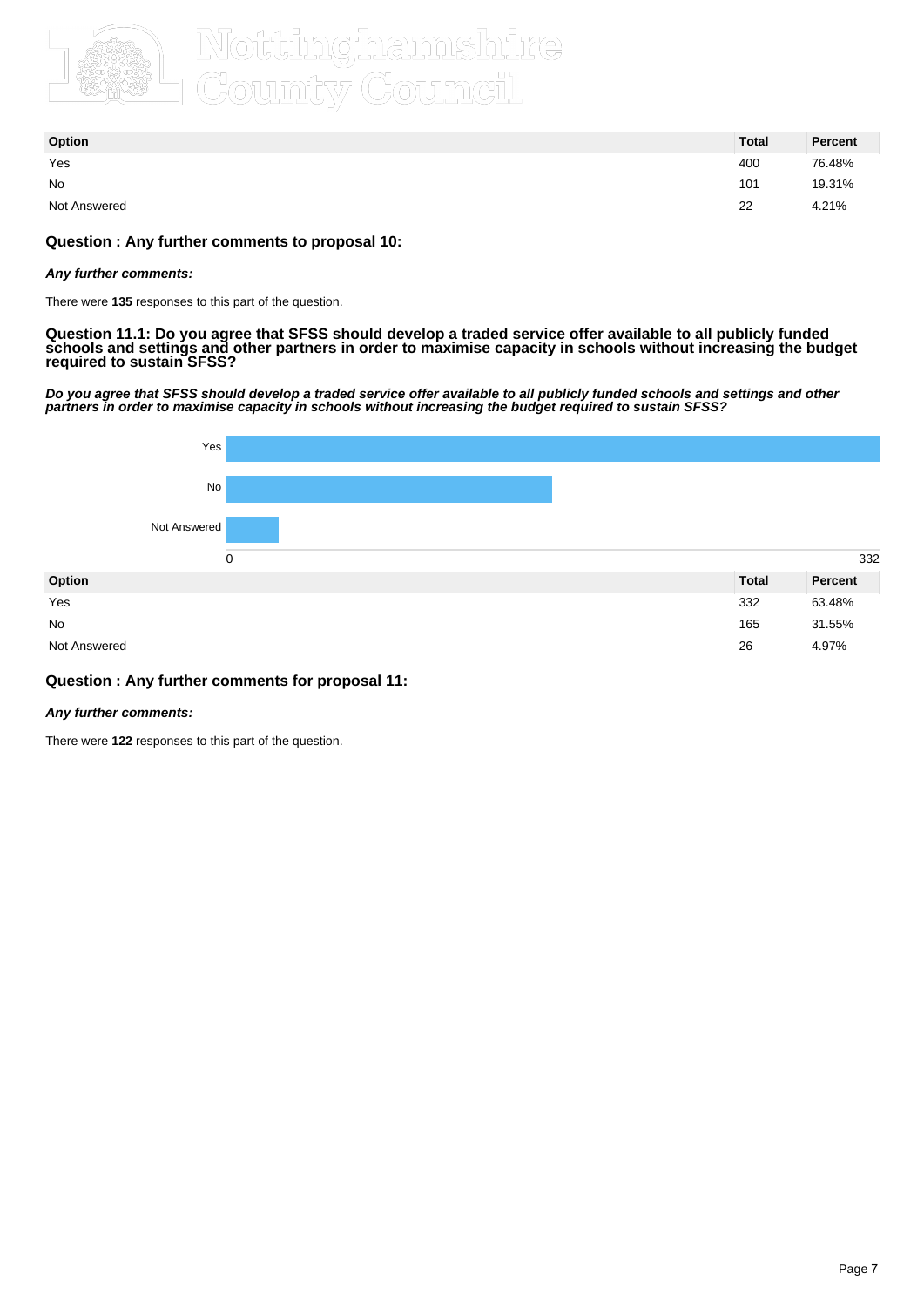

| Option       | <b>Total</b> | Percent |
|--------------|--------------|---------|
| Yes          | 400          | 76.48%  |
| No           | 101          | 19.31%  |
| Not Answered | 22           | 4.21%   |

#### **Question : Any further comments to proposal 10:**

#### **Any further comments:**

There were **135** responses to this part of the question.

**Question 11.1: Do you agree that SFSS should develop a traded service offer available to all publicly funded schools and settings and other partners in order to maximise capacity in schools without increasing the budget required to sustain SFSS?**

**Do you agree that SFSS should develop a traded service offer available to all publicly funded schools and settings and other partners in order to maximise capacity in schools without increasing the budget required to sustain SFSS?**



#### **Question : Any further comments for proposal 11:**

#### **Any further comments:**

There were **122** responses to this part of the question.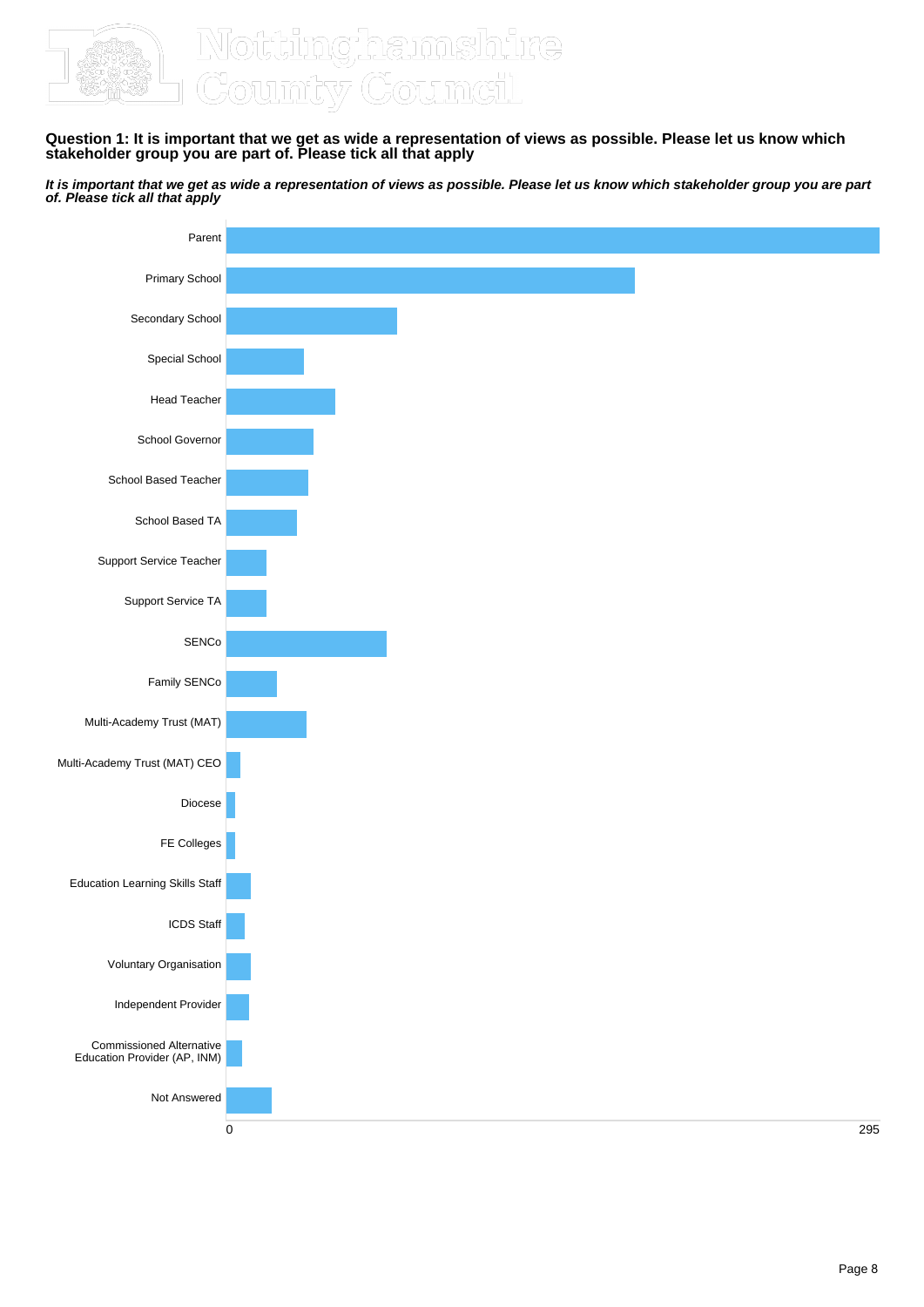

## Tê

**Question 1: It is important that we get as wide a representation of views as possible. Please let us know which stakeholder group you are part of. Please tick all that apply**

**It is important that we get as wide a representation of views as possible. Please let us know which stakeholder group you are part of. Please tick all that apply**